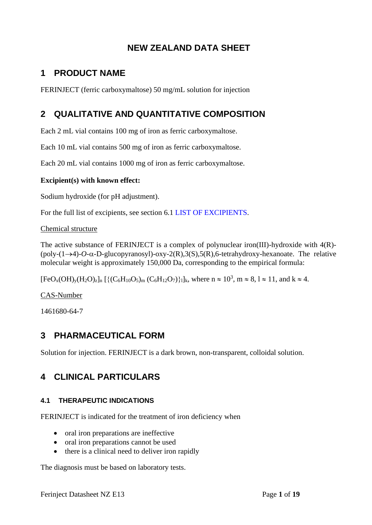# **NEW ZEALAND DATA SHEET**

# **1 PRODUCT NAME**

FERINJECT (ferric carboxymaltose) 50 mg/mL solution for injection

# **2 QUALITATIVE AND QUANTITATIVE COMPOSITION**

Each 2 mL vial contains 100 mg of iron as ferric carboxymaltose.

Each 10 mL vial contains 500 mg of iron as ferric carboxymaltose.

Each 20 mL vial contains 1000 mg of iron as ferric carboxymaltose.

## **Excipient(s) with known effect:**

Sodium hydroxide (for pH adjustment).

For the full list of excipients, see section 6.1 [LIST OF EXCIPIENTS.](#page-16-0)

Chemical structure

The active substance of FERINJECT is a complex of polynuclear iron(III)-hydroxide with 4(R)- (poly-(1→4)-*O*--D-glucopyranosyl)-oxy-2(R),3(S),5(R),6-tetrahydroxy-hexanoate. The relative molecular weight is approximately 150,000 Da, corresponding to the empirical formula:

 $[FeO_x(OH)_y(H_2O)_z]_n$   $[{(C_6H_{10}O_5)_m (C_6H_{12}O_7)}_1]_k$ , where  $n \approx 10^3$ ,  $m \approx 8$ ,  $l \approx 11$ , and  $k \approx 4$ .

CAS-Number

1461680-64-7

# **3 PHARMACEUTICAL FORM**

Solution for injection. FERINJECT is a dark brown, non-transparent, colloidal solution.

# **4 CLINICAL PARTICULARS**

## **4.1 THERAPEUTIC INDICATIONS**

FERINJECT is indicated for the treatment of iron deficiency when

- oral iron preparations are ineffective
- oral iron preparations cannot be used
- there is a clinical need to deliver iron rapidly

The diagnosis must be based on laboratory tests.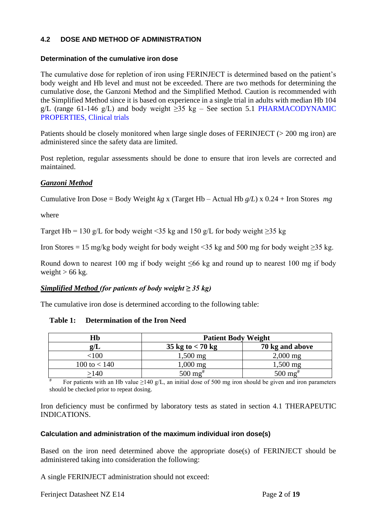## <span id="page-1-1"></span><span id="page-1-0"></span>**4.2 DOSE AND METHOD OF ADMINISTRATION**

### **Determination of the cumulative iron dose**

The cumulative dose for repletion of iron using FERINJECT is determined based on the patient's body weight and Hb level and must not be exceeded. There are two methods for determining the cumulative dose, the Ganzoni Method and the Simplified Method. Caution is recommended with the Simplified Method since it is based on experience in a single trial in adults with median Hb 104 g/L (range 61-146 g/L) and body weight  $\geq$ 35 kg – See section 5.1 PHARMACODYNAMIC [PROPERTIES,](#page-9-0) Clinical trials

Patients should be closely monitored when large single doses of FERINJECT (> 200 mg iron) are administered since the safety data are limited.

Post repletion, regular assessments should be done to ensure that iron levels are corrected and maintained.

## *Ganzoni Method*

Cumulative Iron Dose = Body Weight *kg* x (Target Hb – Actual Hb *g/L*) x 0.24 + Iron Stores *mg*

where

Target Hb = 130 g/L for body weight <35 kg and 150 g/L for body weight  $\geq$ 35 kg

Iron Stores = 15 mg/kg body weight for body weight <35 kg and 500 mg for body weight  $\geq$ 35 kg.

Round down to nearest 100 mg if body weight  $\leq 66$  kg and round up to nearest 100 mg if body weight  $> 66$  kg.

## *Simplified Method (for patients of body weight ≥ 35 kg)*

The cumulative iron dose is determined according to the following table:

#### **Table 1: Determination of the Iron Need**

| Hb             | <b>Patient Body Weight</b> |                          |  |
|----------------|----------------------------|--------------------------|--|
| g/L            | 35 kg to $< 70$ kg         | 70 kg and above          |  |
| 100            | $1,500 \text{ mg}$         | $2,000$ mg               |  |
| 100 to $< 140$ | $0.000$ mg                 | $1,500$ mg               |  |
| 140            | $500 \,\mathrm{mg}^{\#}$   | $500 \,\mathrm{mg}^{\#}$ |  |

For patients with an Hb value  $\geq 140$  g/L, an initial dose of 500 mg iron should be given and iron parameters should be checked prior to repeat dosing.

Iron deficiency must be confirmed by laboratory tests as stated in section 4.1 THERAPEUTIC INDICATIONS.

#### **Calculation and administration of the maximum individual iron dose(s)**

Based on the iron need determined above the appropriate dose(s) of FERINJECT should be administered taking into consideration the following:

A single FERINJECT administration should not exceed: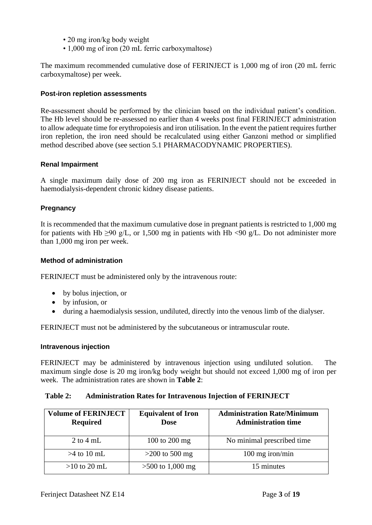- 20 mg iron/kg body weight
- 1,000 mg of iron (20 mL ferric carboxymaltose)

The maximum recommended cumulative dose of FERINJECT is 1,000 mg of iron (20 mL ferric carboxymaltose) per week.

#### **Post-iron repletion assessments**

Re-assessment should be performed by the clinician based on the individual patient's condition. The Hb level should be re-assessed no earlier than 4 weeks post final FERINJECT administration to allow adequate time for erythropoiesis and iron utilisation. In the event the patient requires further iron repletion, the iron need should be recalculated using either Ganzoni method or simplified method described above (see section 5.1 PHARMACODYNAMIC PROPERTIES).

#### **Renal Impairment**

A single maximum daily dose of 200 mg iron as FERINJECT should not be exceeded in haemodialysis-dependent chronic kidney disease patients.

#### **Pregnancy**

It is recommended that the maximum cumulative dose in pregnant patients is restricted to 1,000 mg for patients with Hb  $\geq$ 90 g/L, or 1,500 mg in patients with Hb <90 g/L. Do not administer more than 1,000 mg iron per week.

#### **Method of administration**

FERINJECT must be administered only by the intravenous route:

- by bolus injection, or
- by infusion, or
- during a haemodialysis session, undiluted, directly into the venous limb of the dialyser.

FERINJECT must not be administered by the subcutaneous or intramuscular route.

#### **Intravenous injection**

FERINJECT may be administered by intravenous injection using undiluted solution. The maximum single dose is 20 mg iron/kg body weight but should not exceed 1,000 mg of iron per week. The administration rates are shown in **[Table 2](#page-2-0)**:

#### <span id="page-2-0"></span>**Table 2: Administration Rates for Intravenous Injection of FERINJECT**

| <b>Volume of FERINJECT</b><br><b>Required</b> | <b>Equivalent of Iron</b><br><b>Dose</b> | <b>Administration Rate/Minimum</b><br><b>Administration time</b> |
|-----------------------------------------------|------------------------------------------|------------------------------------------------------------------|
| $2$ to $4$ mL                                 | 100 to 200 mg                            | No minimal prescribed time                                       |
| $>4$ to 10 mL                                 | $>200$ to 500 mg                         | 100 mg iron/min                                                  |
| $>10$ to 20 mL                                | $>500$ to 1,000 mg                       | 15 minutes                                                       |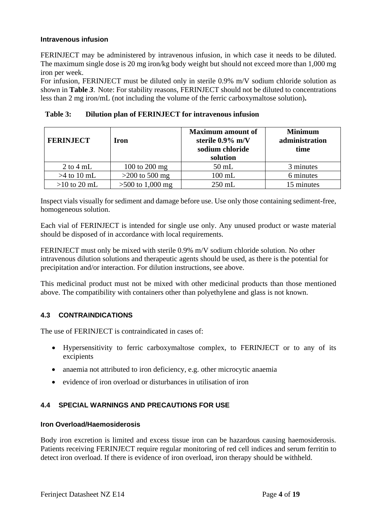### **Intravenous infusion**

FERINJECT may be administered by intravenous infusion, in which case it needs to be diluted. The maximum single dose is 20 mg iron/kg body weight but should not exceed more than 1,000 mg iron per week.

For infusion, FERINJECT must be diluted only in sterile 0.9% m/V sodium chloride solution as shown in **[Table](#page-3-0)** *3*. Note: For stability reasons, FERINJECT should not be diluted to concentrations less than 2 mg iron/mL (not including the volume of the ferric carboxymaltose solution)**.**

<span id="page-3-0"></span>

| Dilution plan of FERINJECT for intravenous infusion<br>Table 3: |  |
|-----------------------------------------------------------------|--|
|-----------------------------------------------------------------|--|

| <b>FERINJECT</b> | Iron               | <b>Maximum</b> amount of<br>sterile 0.9% m/V<br>sodium chloride<br>solution | <b>Minimum</b><br>administration<br>time |
|------------------|--------------------|-----------------------------------------------------------------------------|------------------------------------------|
| $2$ to $4$ mL    | 100 to 200 mg      | $50$ mL                                                                     | 3 minutes                                |
| $>4$ to 10 mL    | $>200$ to 500 mg   | $100$ mL                                                                    | 6 minutes                                |
| $>10$ to 20 mL   | $>500$ to 1,000 mg | $250$ mL                                                                    | 15 minutes                               |

Inspect vials visually for sediment and damage before use. Use only those containing sediment-free, homogeneous solution.

Each vial of FERINJECT is intended for single use only. Any unused product or waste material should be disposed of in accordance with local requirements.

FERINJECT must only be mixed with sterile 0.9% m/V sodium chloride solution. No other intravenous dilution solutions and therapeutic agents should be used, as there is the potential for precipitation and/or interaction. For dilution instructions, see above.

This medicinal product must not be mixed with other medicinal products than those mentioned above. The compatibility with containers other than polyethylene and glass is not known.

## **4.3 CONTRAINDICATIONS**

The use of FERINJECT is contraindicated in cases of:

- Hypersensitivity to ferric carboxymaltose complex, to FERINJECT or to any of its excipients
- anaemia not attributed to iron deficiency, e.g. other microcytic anaemia
- evidence of iron overload or disturbances in utilisation of iron

## **4.4 SPECIAL WARNINGS AND PRECAUTIONS FOR USE**

#### **Iron Overload/Haemosiderosis**

Body iron excretion is limited and excess tissue iron can be hazardous causing haemosiderosis. Patients receiving FERINJECT require regular monitoring of red cell indices and serum ferritin to detect iron overload. If there is evidence of iron overload, iron therapy should be withheld.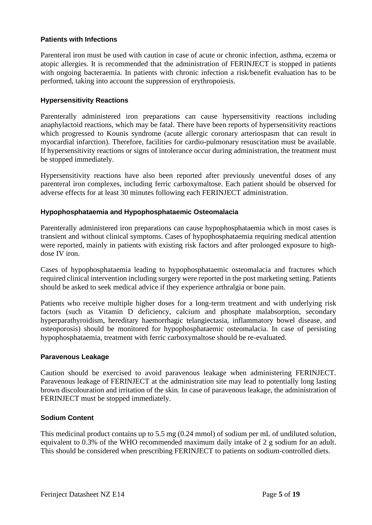#### **Patients with Infections**

Parenteral iron must be used with caution in case of acute or chronic infection, asthma, eczema or atopic allergies. It is recommended that the administration of FERINJECT is stopped in patients with ongoing bacteraemia. In patients with chronic infection a risk/benefit evaluation has to be performed, taking into account the suppression of erythropoiesis.

#### **Hypersensitivity Reactions**

Parenterally administered iron preparations can cause hypersensitivity reactions including anaphylactoid reactions, which may be fatal. There have been reports of hypersensitivity reactions which progressed to Kounis syndrome (acute allergic coronary arteriospasm that can result in myocardial infarction). Therefore, facilities for cardio-pulmonary resuscitation must be available. If hypersensitivity reactions or signs of intolerance occur during administration, the treatment must be stopped immediately.

Hypersensitivity reactions have also been reported after previously uneventful doses of any parenteral iron complexes, including ferric carboxymaltose. Each patient should be observed for adverse effects for at least 30 minutes following each FERINJECT administration.

#### **Hypophosphataemia and Hypophosphataemic Osteomalacia**

Parenterally administered iron preparations can cause hypophosphataemia which in most cases is transient and without clinical symptoms. Cases of hypophosphataemia requiring medical attention were reported, mainly in patients with existing risk factors and after prolonged exposure to highdose IV iron.

Cases of hypophosphataemia leading to hypophosphataemic osteomalacia and fractures which required clinical intervention including surgery were reported in the post marketing setting. Patients should be asked to seek medical advice if they experience arthralgia or bone pain.

Patients who receive multiple higher doses for a long-term treatment and with underlying risk factors (such as Vitamin D deficiency, calcium and phosphate malabsorption, secondary hyperparathyroidism, hereditary haemorrhagic telangiectasia, inflammatory bowel disease, and osteoporosis) should be monitored for hypophosphataemic osteomalacia. In case of persisting hypophosphataemia, treatment with ferric carboxymaltose should be re-evaluated.

#### **Paravenous Leakage**

Caution should be exercised to avoid paravenous leakage when administering FERINJECT. Paravenous leakage of FERINJECT at the administration site may lead to potentially long lasting brown discolouration and irritation of the skin. In case of paravenous leakage, the administration of FERINJECT must be stopped immediately.

## **Sodium Content**

This medicinal product contains up to 5.5 mg (0.24 mmol) of sodium per mL of undiluted solution, equivalent to 0.3% of the WHO recommended maximum daily intake of 2 g sodium for an adult. This should be considered when prescribing FERINJECT to patients on sodium-controlled diets.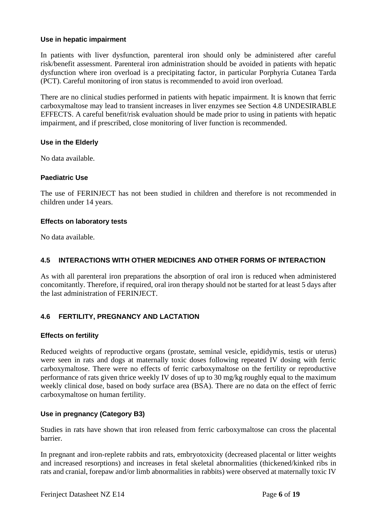#### **Use in hepatic impairment**

In patients with liver dysfunction, parenteral iron should only be administered after careful risk/benefit assessment. Parenteral iron administration should be avoided in patients with hepatic dysfunction where iron overload is a precipitating factor, in particular Porphyria Cutanea Tarda (PCT). Careful monitoring of iron status is recommended to avoid iron overload.

There are no clinical studies performed in patients with hepatic impairment. It is known that ferric carboxymaltose may lead to transient increases in liver enzymes see Section 4.8 UNDESIRABLE EFFECTS. A careful benefit/risk evaluation should be made prior to using in patients with hepatic impairment, and if prescribed, close monitoring of liver function is recommended.

#### **Use in the Elderly**

No data available.

#### **Paediatric Use**

The use of FERINJECT has not been studied in children and therefore is not recommended in children under 14 years.

#### **Effects on laboratory tests**

No data available.

### **4.5 INTERACTIONS WITH OTHER MEDICINES AND OTHER FORMS OF INTERACTION**

As with all parenteral iron preparations the absorption of oral iron is reduced when administered concomitantly. Therefore, if required, oral iron therapy should not be started for at least 5 days after the last administration of FERINJECT.

## **4.6 FERTILITY, PREGNANCY AND LACTATION**

#### **Effects on fertility**

Reduced weights of reproductive organs (prostate, seminal vesicle, epididymis, testis or uterus) were seen in rats and dogs at maternally toxic doses following repeated IV dosing with ferric carboxymaltose. There were no effects of ferric carboxymaltose on the fertility or reproductive performance of rats given thrice weekly IV doses of up to 30 mg/kg roughly equal to the maximum weekly clinical dose, based on body surface area (BSA). There are no data on the effect of ferric carboxymaltose on human fertility.

## **Use in pregnancy (Category B3)**

Studies in rats have shown that iron released from ferric carboxymaltose can cross the placental barrier.

In pregnant and iron-replete rabbits and rats, embryotoxicity (decreased placental or litter weights and increased resorptions) and increases in fetal skeletal abnormalities (thickened/kinked ribs in rats and cranial, forepaw and/or limb abnormalities in rabbits) were observed at maternally toxic IV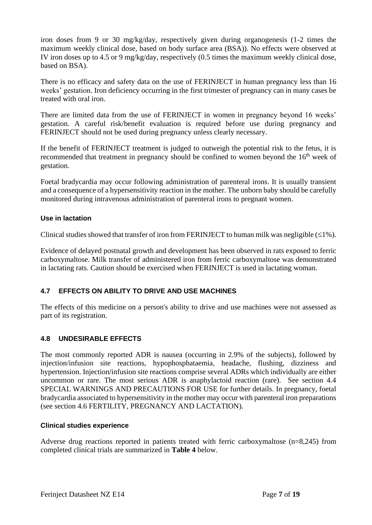iron doses from 9 or 30 mg/kg/day, respectively given during organogenesis (1-2 times the maximum weekly clinical dose, based on body surface area (BSA)). No effects were observed at IV iron doses up to 4.5 or 9 mg/kg/day, respectively (0.5 times the maximum weekly clinical dose, based on BSA).

There is no efficacy and safety data on the use of FERINJECT in human pregnancy less than 16 weeks' gestation. Iron deficiency occurring in the first trimester of pregnancy can in many cases be treated with oral iron.

There are limited data from the use of FERINJECT in women in pregnancy beyond 16 weeks' gestation. A careful risk/benefit evaluation is required before use during pregnancy and FERINJECT should not be used during pregnancy unless clearly necessary.

If the benefit of FERINJECT treatment is judged to outweigh the potential risk to the fetus, it is recommended that treatment in pregnancy should be confined to women beyond the 16<sup>th</sup> week of gestation.

Foetal bradycardia may occur following administration of parenteral irons. It is usually transient and a consequence of a hypersensitivity reaction in the mother. The unborn baby should be carefully monitored during intravenous administration of parenteral irons to pregnant women.

#### **Use in lactation**

Clinical studies showed that transfer of iron from FERINJECT to human milk was negligible  $(\leq 1\%)$ .

Evidence of delayed postnatal growth and development has been observed in rats exposed to ferric carboxymaltose. Milk transfer of administered iron from ferric carboxymaltose was demonstrated in lactating rats. Caution should be exercised when FERINJECT is used in lactating woman.

## **4.7 EFFECTS ON ABILITY TO DRIVE AND USE MACHINES**

The effects of this medicine on a person's ability to drive and use machines were not assessed as part of its registration.

## **4.8 UNDESIRABLE EFFECTS**

The most commonly reported ADR is nausea (occurring in 2.9% of the subjects), followed by injection/infusion site reactions, hypophosphataemia, headache, flushing, dizziness and hypertension. Injection/infusion site reactions comprise several ADRs which individually are either uncommon or rare. The most serious ADR is anaphylactoid reaction (rare). See section 4.4 SPECIAL WARNINGS AND PRECAUTIONS FOR USE for further details. In pregnancy, foetal bradycardia associated to hypersensitivity in the mother may occur with parenteral iron preparations (see section 4.6 FERTILITY, PREGNANCY AND LACTATION).

#### **Clinical studies experience**

Adverse drug reactions reported in patients treated with ferric carboxymaltose (n=8,245) from completed clinical trials are summarized in **[Table 4](#page-7-0)** below.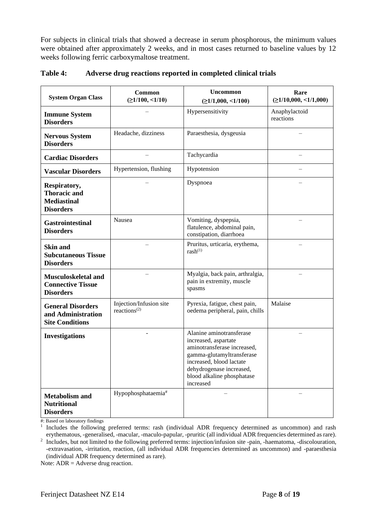For subjects in clinical trials that showed a decrease in serum phosphorous, the minimum values were obtained after approximately 2 weeks, and in most cases returned to baseline values by 12 weeks following ferric carboxymaltose treatment.

| <b>System Organ Class</b>                                                     | <b>Common</b><br>$( \geq 1/100, \leq 1/10)$                      | <b>Uncommon</b><br>$( \geq 1/1,000, \leq 1/100)$                                                                                                                                                                | Rare<br>$( \geq 1/10,000, \leq 1/1,000)$ |
|-------------------------------------------------------------------------------|------------------------------------------------------------------|-----------------------------------------------------------------------------------------------------------------------------------------------------------------------------------------------------------------|------------------------------------------|
| <b>Immune System</b><br><b>Disorders</b>                                      |                                                                  | Hypersensitivity                                                                                                                                                                                                | Anaphylactoid<br>reactions               |
| <b>Nervous System</b><br><b>Disorders</b>                                     | Headache, dizziness                                              | Paraesthesia, dysgeusia                                                                                                                                                                                         |                                          |
| <b>Cardiac Disorders</b>                                                      |                                                                  | Tachycardia                                                                                                                                                                                                     | $\overline{\phantom{0}}$                 |
| <b>Vascular Disorders</b>                                                     | Hypertension, flushing                                           | Hypotension                                                                                                                                                                                                     |                                          |
| Respiratory,<br><b>Thoracic and</b><br><b>Mediastinal</b><br><b>Disorders</b> |                                                                  | Dyspnoea                                                                                                                                                                                                        |                                          |
| <b>Gastrointestinal</b><br><b>Disorders</b>                                   | Nausea                                                           | Vomiting, dyspepsia,<br>flatulence, abdominal pain,<br>constipation, diarrhoea                                                                                                                                  |                                          |
| <b>Skin and</b><br><b>Subcutaneous Tissue</b><br><b>Disorders</b>             |                                                                  | Pruritus, urticaria, erythema,<br>$rash^{(1)}$                                                                                                                                                                  |                                          |
| Musculoskeletal and<br><b>Connective Tissue</b><br><b>Disorders</b>           |                                                                  | Myalgia, back pain, arthralgia,<br>pain in extremity, muscle<br>spasms                                                                                                                                          |                                          |
| <b>General Disorders</b><br>and Administration<br><b>Site Conditions</b>      | Injection/Infusion site<br>reactions <sup><math>(2)</math></sup> | Pyrexia, fatigue, chest pain,<br>oedema peripheral, pain, chills                                                                                                                                                | Malaise                                  |
| <b>Investigations</b>                                                         |                                                                  | Alanine aminotransferase<br>increased, aspartate<br>aminotransferase increased,<br>gamma-glutamyltransferase<br>increased, blood lactate<br>dehydrogenase increased,<br>blood alkaline phosphatase<br>increased |                                          |
| <b>Metabolism and</b><br><b>Nutritional</b><br><b>Disorders</b>               | Hypophosphataemia#                                               |                                                                                                                                                                                                                 |                                          |

<span id="page-7-0"></span>**Table 4: Adverse drug reactions reported in completed clinical trials**

#: Based on laboratory findings

1 Includes the following preferred terms: rash (individual ADR frequency determined as uncommon) and rash erythematous, -generalised, -macular, -maculo-papular, -pruritic (all individual ADR frequencies determined as rare).

<sup>2</sup> Includes, but not limited to the following preferred terms: injection/infusion site -pain, -haematoma, -discolouration, -extravasation, -irritation, reaction, (all individual ADR frequencies determined as uncommon) and -paraesthesia (individual ADR frequency determined as rare).

Note:  $ADR =$  Adverse drug reaction.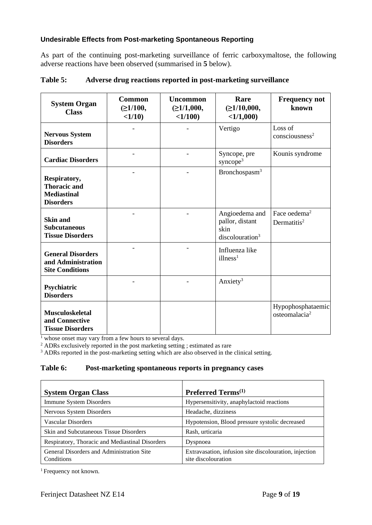## **Undesirable Effects from Post-marketing Spontaneous Reporting**

As part of the continuing post-marketing surveillance of ferric carboxymaltose, the following adverse reactions have been observed (summarised in **[5](#page-8-0)** below).

| <b>System Organ</b><br><b>Class</b>                                           | <b>Common</b><br>$(\geq 1/100,$<br>$<1/10$ ) | <b>Uncommon</b><br>$(\geq 1/1,000,$<br><1/100 | Rare<br>$(\geq 1/10,000,$<br><1/1,000                                    | <b>Frequency not</b><br>known                       |
|-------------------------------------------------------------------------------|----------------------------------------------|-----------------------------------------------|--------------------------------------------------------------------------|-----------------------------------------------------|
| <b>Nervous System</b><br><b>Disorders</b>                                     |                                              |                                               | Vertigo                                                                  | Loss of<br>consciousness <sup>2</sup>               |
| <b>Cardiac Disorders</b>                                                      |                                              |                                               | Syncope, pre<br>syncope <sup>3</sup>                                     | Kounis syndrome                                     |
| Respiratory,<br><b>Thoracic and</b><br><b>Mediastinal</b><br><b>Disorders</b> |                                              |                                               | Bronchospasm <sup>3</sup>                                                |                                                     |
| <b>Skin and</b><br><b>Subcutaneous</b><br><b>Tissue Disorders</b>             |                                              |                                               | Angioedema and<br>pallor, distant<br>skin<br>discolouration <sup>3</sup> | Face oedema <sup>2</sup><br>Dermatitis <sup>2</sup> |
| <b>General Disorders</b><br>and Administration<br><b>Site Conditions</b>      |                                              |                                               | Influenza like<br>illness <sup>1</sup>                                   |                                                     |
| Psychiatric<br><b>Disorders</b>                                               |                                              |                                               | Anxiety <sup>3</sup>                                                     |                                                     |
| <b>Musculoskeletal</b><br>and Connective<br><b>Tissue Disorders</b>           |                                              |                                               |                                                                          | Hypophosphataemic<br>osteomalacia <sup>2</sup>      |

#### <span id="page-8-0"></span>**Table 5: Adverse drug reactions reported in post-marketing surveillance**

 $\frac{1}{1}$  whose onset may vary from a few hours to several days.

<sup>2</sup> ADRs exclusively reported in the post marketing setting ; estimated as rare

<sup>3</sup> ADRs reported in the post-marketing setting which are also observed in the clinical setting.

#### **Table 6: Post-marketing spontaneous reports in pregnancy cases**

| <b>System Organ Class</b>                               | Preferred Terms <sup>(1)</sup>                                                |
|---------------------------------------------------------|-------------------------------------------------------------------------------|
| Immune System Disorders                                 | Hypersensitivity, anaphylactoid reactions                                     |
| Nervous System Disorders                                | Headache, dizziness                                                           |
| Vascular Disorders                                      | Hypotension, Blood pressure systolic decreased                                |
| Skin and Subcutaneous Tissue Disorders                  | Rash, urticaria                                                               |
| Respiratory, Thoracic and Mediastinal Disorders         | Dyspnoea                                                                      |
| General Disorders and Administration Site<br>Conditions | Extravasation, infusion site discolouration, injection<br>site discolouration |

<sup>1</sup> Frequency not known.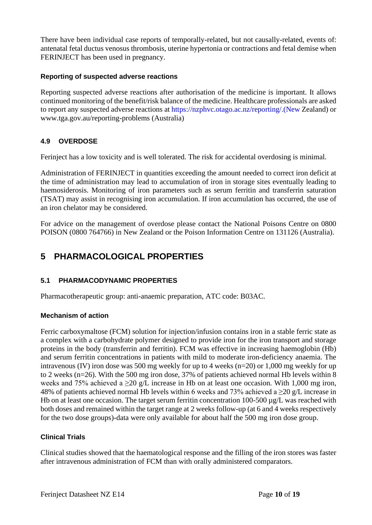There have been individual case reports of temporally-related, but not causally-related, events of: antenatal fetal ductus venosus thrombosis, uterine hypertonia or contractions and fetal demise when FERINJECT has been used in pregnancy.

## **Reporting of suspected adverse reactions**

Reporting suspected adverse reactions after authorisation of the medicine is important. It allows continued monitoring of the benefit/risk balance of the medicine. Healthcare professionals are asked to report any suspected adverse reactions at [https://nzphvc.otago.ac.nz/reporting/.\(New](https://nzphvc.otago.ac.nz/reporting/.(New) Zealand) or [www.tga.gov.au/reporting-problems](https://www.tga.gov.au/reporting-problems) (Australia)

## **4.9 OVERDOSE**

Ferinject has a low toxicity and is well tolerated. The risk for accidental overdosing is minimal.

Administration of FERINJECT in quantities exceeding the amount needed to correct iron deficit at the time of administration may lead to accumulation of iron in storage sites eventually leading to haemosiderosis. Monitoring of iron parameters such as serum ferritin and transferrin saturation (TSAT) may assist in recognising iron accumulation. If iron accumulation has occurred, the use of an iron chelator may be considered.

For advice on the management of overdose please contact the National Poisons Centre on 0800 POISON (0800 764766) in New Zealand or the Poison Information Centre on 131126 (Australia).

## <span id="page-9-0"></span>**5 PHARMACOLOGICAL PROPERTIES**

## **5.1 PHARMACODYNAMIC PROPERTIES**

Pharmacotherapeutic group: anti-anaemic preparation, ATC code: B03AC.

## **Mechanism of action**

Ferric carboxymaltose (FCM) solution for injection/infusion contains iron in a stable ferric state as a complex with a carbohydrate polymer designed to provide iron for the iron transport and storage proteins in the body (transferrin and ferritin). FCM was effective in increasing haemoglobin (Hb) and serum ferritin concentrations in patients with mild to moderate iron-deficiency anaemia. The intravenous (IV) iron dose was 500 mg weekly for up to 4 weeks (n=20) or 1,000 mg weekly for up to 2 weeks (n=26). With the 500 mg iron dose, 37% of patients achieved normal Hb levels within 8 weeks and 75% achieved a  $\geq$ 20 g/L increase in Hb on at least one occasion. With 1,000 mg iron, 48% of patients achieved normal Hb levels within 6 weeks and 73% achieved a  $\geq$ 20 g/L increase in Hb on at least one occasion. The target serum ferritin concentration 100-500  $\mu$ g/L was reached with both doses and remained within the target range at 2 weeks follow-up (at 6 and 4 weeks respectively for the two dose groups)-data were only available for about half the 500 mg iron dose group.

## **Clinical Trials**

Clinical studies showed that the haematological response and the filling of the iron stores was faster after intravenous administration of FCM than with orally administered comparators.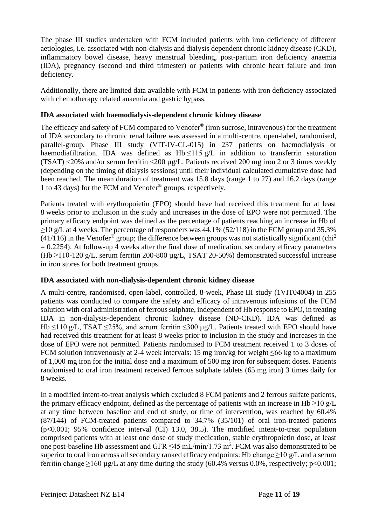The phase III studies undertaken with FCM included patients with iron deficiency of different aetiologies, i.e. associated with non-dialysis and dialysis dependent chronic kidney disease (CKD), inflammatory bowel disease, heavy menstrual bleeding, post-partum iron deficiency anaemia (IDA), pregnancy (second and third trimester) or patients with chronic heart failure and iron deficiency.

Additionally, there are limited data available with FCM in patients with iron deficiency associated with chemotherapy related anaemia and gastric bypass.

## **IDA associated with haemodialysis-dependent chronic kidney disease**

The efficacy and safety of FCM compared to Venofer® (iron sucrose, intravenous) for the treatment of IDA secondary to chronic renal failure was assessed in a multi-centre, open-label, randomised, parallel-group, Phase III study (VIT-IV-CL-015) in 237 patients on haemodialysis or haemodiafiltration. IDA was defined as  $Hb \le 115 g/L$  in addition to transferrin saturation (TSAT) <20% and/or serum ferritin <200 µg/L. Patients received 200 mg iron 2 or 3 times weekly (depending on the timing of dialysis sessions) until their individual calculated cumulative dose had been reached. The mean duration of treatment was 15.8 days (range 1 to 27) and 16.2 days (range 1 to 43 days) for the FCM and Venofer® groups, respectively.

Patients treated with erythropoietin (EPO) should have had received this treatment for at least 8 weeks prior to inclusion in the study and increases in the dose of EPO were not permitted. The primary efficacy endpoint was defined as the percentage of patients reaching an increase in Hb of  $\geq$ 10 g/L at 4 weeks. The percentage of responders was 44.1% (52/118) in the FCM group and 35.3%  $(41/116)$  in the Venofer<sup>®</sup> group; the difference between groups was not statistically significant (chi<sup>2</sup>)  $= 0.2254$ ). At follow-up 4 weeks after the final dose of medication, secondary efficacy parameters (Hb  $\geq$ 110-120 g/L, serum ferritin 200-800 µg/L, TSAT 20-50%) demonstrated successful increase in iron stores for both treatment groups.

## **IDA associated with non-dialysis-dependent chronic kidney disease**

A multi-centre, randomised, open-label, controlled, 8-week, Phase III study (1VIT04004) in 255 patients was conducted to compare the safety and efficacy of intravenous infusions of the FCM solution with oral administration of ferrous sulphate, independent of Hb response to EPO, in treating IDA in non-dialysis-dependent chronic kidney disease (ND-CKD). IDA was defined as Hb  $\leq$ 110 g/L, TSAT  $\leq$ 25%, and serum ferritin  $\leq$ 300 µg/L. Patients treated with EPO should have had received this treatment for at least 8 weeks prior to inclusion in the study and increases in the dose of EPO were not permitted. Patients randomised to FCM treatment received 1 to 3 doses of FCM solution intravenously at 2-4 week intervals: 15 mg iron/kg for weight  $\leq 66$  kg to a maximum of 1,000 mg iron for the initial dose and a maximum of 500 mg iron for subsequent doses. Patients randomised to oral iron treatment received ferrous sulphate tablets (65 mg iron) 3 times daily for 8 weeks.

In a modified intent-to-treat analysis which excluded 8 FCM patients and 2 ferrous sulfate patients, the primary efficacy endpoint, defined as the percentage of patients with an increase in Hb  $\geq$ 10 g/L at any time between baseline and end of study, or time of intervention, was reached by 60.4% (87/144) of FCM-treated patients compared to 34.7% (35/101) of oral iron-treated patients (p<0.001; 95% confidence interval (CI) 13.0, 38.5). The modified intent-to-treat population comprised patients with at least one dose of study medication, stable erythropoietin dose, at least one post-baseline Hb assessment and GFR  $\leq$ 45 mL/min/1.73 m<sup>2</sup>. FCM was also demonstrated to be superior to oral iron across all secondary ranked efficacy endpoints: Hb change  $\geq$ 10 g/L and a serum ferritin change  $\geq 160 \mu$ g/L at any time during the study (60.4% versus 0.0%, respectively; p<0.001;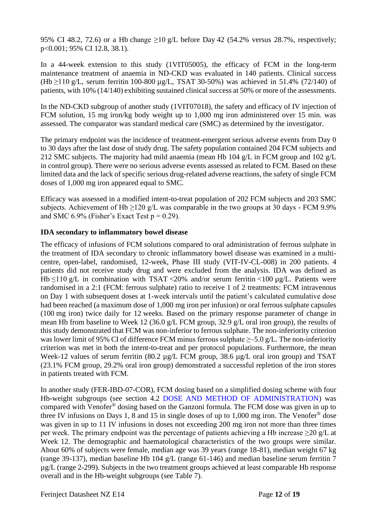95% CI 48.2, 72.6) or a Hb change  $>10$  g/L before Day 42 (54.2% versus 28.7%, respectively; p<0.001; 95% CI 12.8, 38.1).

In a 44-week extension to this study (1VIT05005), the efficacy of FCM in the long-term maintenance treatment of anaemia in ND-CKD was evaluated in 140 patients. Clinical success (Hb  $\geq$ 110 g/L, serum ferritin 100-800 µg/L, TSAT 30-50%) was achieved in 51.4% (72/140) of patients, with 10% (14/140) exhibiting sustained clinical success at 50% or more of the assessments.

In the ND-CKD subgroup of another study (1VIT07018), the safety and efficacy of IV injection of FCM solution, 15 mg iron/kg body weight up to 1,000 mg iron administered over 15 min. was assessed. The comparator was standard medical care (SMC) as determined by the investigator.

The primary endpoint was the incidence of treatment-emergent serious adverse events from Day 0 to 30 days after the last dose of study drug. The safety population contained 204 FCM subjects and 212 SMC subjects. The majority had mild anaemia (mean Hb 104 g/L in FCM group and 102 g/L in control group). There were no serious adverse events assessed as related to FCM. Based on these limited data and the lack of specific serious drug-related adverse reactions, the safety of single FCM doses of 1,000 mg iron appeared equal to SMC.

Efficacy was assessed in a modified intent-to-treat population of 202 FCM subjects and 203 SMC subjects. Achievement of Hb  $\geq$ 120 g/L was comparable in the two groups at 30 days - FCM 9.9% and SMC 6.9% (Fisher's Exact Test  $p = 0.29$ ).

## **IDA secondary to inflammatory bowel disease**

The efficacy of infusions of FCM solutions compared to oral administration of ferrous sulphate in the treatment of IDA secondary to chronic inflammatory bowel disease was examined in a multicentre, open-label, randomised, 12-week, Phase III study (VIT-IV-CL-008) in 200 patients. 4 patients did not receive study drug and were excluded from the analysis. IDA was defined as Hb  $\leq$ 110 g/L in combination with TSAT <20% and/or serum ferritin <100 µg/L. Patients were randomised in a 2:1 (FCM: ferrous sulphate) ratio to receive 1 of 2 treatments: FCM intravenous on Day 1 with subsequent doses at 1-week intervals until the patient's calculated cumulative dose had been reached (a maximum dose of 1,000 mg iron per infusion) or oral ferrous sulphate capsules (100 mg iron) twice daily for 12 weeks. Based on the primary response parameter of change in mean Hb from baseline to Week 12 (36.0 g/L FCM group, 32.9 g/L oral iron group), the results of this study demonstrated that FCM was non-inferior to ferrous sulphate. The non-inferiority criterion was lower limit of 95% CI of difference FCM minus ferrous sulphate  $\geq$  -5.0 g/L. The non-inferiority criterion was met in both the intent-to-treat and per protocol populations. Furthermore, the mean Week-12 values of serum ferritin (80.2 µg/L FCM group, 38.6 µg/L oral iron group) and TSAT (23.1% FCM group, 29.2% oral iron group) demonstrated a successful repletion of the iron stores in patients treated with FCM.

In another study (FER-IBD-07-COR), FCM dosing based on a simplified dosing scheme with four Hb-weight subgroups (see section 4.2 [DOSE AND METHOD OF ADMINISTRATION\)](#page-1-0) was compared with Venofer® dosing based on the Ganzoni formula. The FCM dose was given in up to three IV infusions on Days 1, 8 and 15 in single doses of up to 1,000 mg iron. The Venofer<sup>®</sup> dose was given in up to 11 IV infusions in doses not exceeding 200 mg iron not more than three times per week. The primary endpoint was the percentage of patients achieving a Hb increase  $\geq$ 20 g/L at Week 12. The demographic and haematological characteristics of the two groups were similar. About 60% of subjects were female, median age was 39 years (range 18-81), median weight 67 kg (range 39-137), median baseline Hb 104 g/L (range 61-146) and median baseline serum ferritin 7 µg/L (range 2-299). Subjects in the two treatment groups achieved at least comparable Hb response overall and in the Hb-weight subgroups (see Table 7).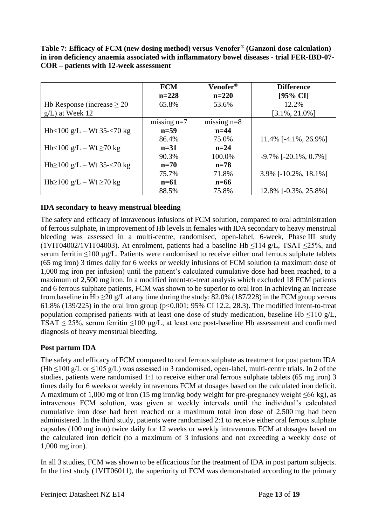**Table 7: Efficacy of FCM (new dosing method) versus Venofer® (Ganzoni dose calculation) in iron deficiency anaemia associated with inflammatory bowel diseases - trial FER-IBD-07- COR – patients with 12-week assessment**

|                                   | <b>FCM</b>    | Venofer®      | <b>Difference</b>             |
|-----------------------------------|---------------|---------------|-------------------------------|
|                                   | $n=228$       | $n=220$       | $[95\% \text{ CI}]$           |
| Hb Response (increase $\geq$ 20   | 65.8%         | 53.6%         | 12.2%                         |
| $g/L$ ) at Week 12                |               |               | $[3.1\%, 21.0\%]$             |
|                                   | missing $n=7$ | missing $n=8$ |                               |
| Hb $<$ 100 g/L – Wt 35- $<$ 70 kg | $n=59$        | $n=44$        |                               |
|                                   | 86.4%         | 75.0%         | 11.4% [-4.1%, 26.9%]          |
| Hb<100 g/L – Wt $\geq$ 70 kg      | $n=31$        | $n=24$        |                               |
|                                   | 90.3%         | 100.0%        | $-9.7\%$ [ $-20.1\%$ , 0.7\%] |
| Hb $\geq$ 100 g/L – Wt 35-<70 kg  | $n=70$        | $n=78$        |                               |
|                                   | 75.7%         | 71.8%         | 3.9% $[-10.2\%, 18.1\%]$      |
| Hb≥100 g/L – Wt ≥70 kg            | $n=61$        | $n=66$        |                               |
|                                   | 88.5%         | 75.8%         | 12.8% [-0.3%, 25.8%]          |

## **IDA secondary to heavy menstrual bleeding**

The safety and efficacy of intravenous infusions of FCM solution, compared to oral administration of ferrous sulphate, in improvement of Hb levels in females with IDA secondary to heavy menstrual bleeding was assessed in a multi-centre, randomised, open-label, 6-week, Phase III study (1VIT04002/1VIT04003). At enrolment, patients had a baseline Hb ≤114 g/L, TSAT ≤25%, and serum ferritin ≤100 µg/L. Patients were randomised to receive either oral ferrous sulphate tablets (65 mg iron) 3 times daily for 6 weeks or weekly infusions of FCM solution (a maximum dose of 1,000 mg iron per infusion) until the patient's calculated cumulative dose had been reached, to a maximum of 2,500 mg iron. In a modified intent-to-treat analysis which excluded 18 FCM patients and 6 ferrous sulphate patients, FCM was shown to be superior to oral iron in achieving an increase from baseline in Hb  $\geq$ 20 g/L at any time during the study: 82.0% (187/228) in the FCM group versus 61.8% (139/225) in the oral iron group (p<0.001; 95% CI 12.2, 28.3). The modified intent-to-treat population comprised patients with at least one dose of study medication, baseline Hb  $\leq$ 110 g/L, TSAT  $\leq$  25%, serum ferritin  $\leq$ 100 µg/L, at least one post-baseline Hb assessment and confirmed diagnosis of heavy menstrual bleeding.

## **Post partum IDA**

The safety and efficacy of FCM compared to oral ferrous sulphate as treatment for post partum IDA (Hb  $\leq$ 100 g/L or  $\leq$ 105 g/L) was assessed in 3 randomised, open-label, multi-centre trials. In 2 of the studies, patients were randomised 1:1 to receive either oral ferrous sulphate tablets (65 mg iron) 3 times daily for 6 weeks or weekly intravenous FCM at dosages based on the calculated iron deficit. A maximum of 1,000 mg of iron (15 mg iron/kg body weight for pre-pregnancy weight ≤66 kg), as intravenous FCM solution, was given at weekly intervals until the individual's calculated cumulative iron dose had been reached or a maximum total iron dose of 2,500 mg had been administered. In the third study, patients were randomised 2:1 to receive either oral ferrous sulphate capsules (100 mg iron) twice daily for 12 weeks or weekly intravenous FCM at dosages based on the calculated iron deficit (to a maximum of 3 infusions and not exceeding a weekly dose of 1,000 mg iron).

In all 3 studies, FCM was shown to be efficacious for the treatment of IDA in post partum subjects. In the first study (1VIT06011), the superiority of FCM was demonstrated according to the primary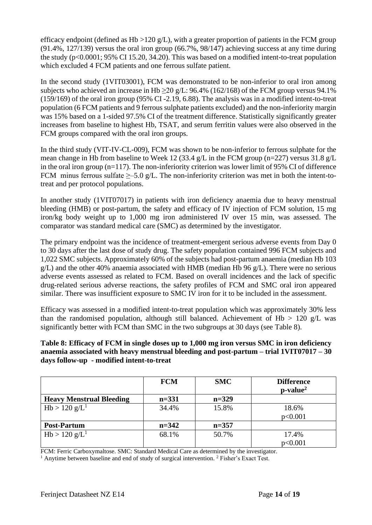efficacy endpoint (defined as Hb  $>120$  g/L), with a greater proportion of patients in the FCM group (91.4%, 127/139) versus the oral iron group (66.7%, 98/147) achieving success at any time during the study (p<0.0001; 95% CI 15.20, 34.20). This was based on a modified intent-to-treat population which excluded 4 FCM patients and one ferrous sulfate patient.

In the second study (1VIT03001), FCM was demonstrated to be non-inferior to oral iron among subjects who achieved an increase in Hb  $\geq$ 20 g/L: 96.4% (162/168) of the FCM group versus 94.1% (159/169) of the oral iron group (95% CI -2.19, 6.88). The analysis was in a modified intent-to-treat population (6 FCM patients and 9 ferrous sulphate patients excluded) and the non-inferiority margin was 15% based on a 1-sided 97.5% CI of the treatment difference. Statistically significantly greater increases from baseline to highest Hb, TSAT, and serum ferritin values were also observed in the FCM groups compared with the oral iron groups.

In the third study (VIT-IV-CL-009), FCM was shown to be non-inferior to ferrous sulphate for the mean change in Hb from baseline to Week 12 (33.4 g/L in the FCM group (n=227) versus 31.8 g/L in the oral iron group (n=117). The non-inferiority criterion was lower limit of 95% CI of difference FCM minus ferrous sulfate  $\geq$  5.0 g/L. The non-inferiority criterion was met in both the intent-totreat and per protocol populations.

In another study (1VIT07017) in patients with iron deficiency anaemia due to heavy menstrual bleeding (HMB) or post-partum, the safety and efficacy of IV injection of FCM solution, 15 mg iron/kg body weight up to 1,000 mg iron administered IV over 15 min, was assessed. The comparator was standard medical care (SMC) as determined by the investigator.

The primary endpoint was the incidence of treatment-emergent serious adverse events from Day 0 to 30 days after the last dose of study drug. The safety population contained 996 FCM subjects and 1,022 SMC subjects. Approximately 60% of the subjects had post-partum anaemia (median Hb 103  $g/L$ ) and the other 40% anaemia associated with HMB (median Hb 96  $g/L$ ). There were no serious adverse events assessed as related to FCM. Based on overall incidences and the lack of specific drug-related serious adverse reactions, the safety profiles of FCM and SMC oral iron appeared similar. There was insufficient exposure to SMC IV iron for it to be included in the assessment.

Efficacy was assessed in a modified intent-to-treat population which was approximately 30% less than the randomised population, although still balanced. Achievement of  $Hb > 120$  g/L was significantly better with FCM than SMC in the two subgroups at 30 days (see Table 8).

**Table 8: Efficacy of FCM in single doses up to 1,000 mg iron versus SMC in iron deficiency anaemia associated with heavy menstrual bleeding and post-partum – trial 1VIT07017 – 30 days follow-up - modified intent-to-treat**

|                                 | <b>FCM</b> | <b>SMC</b> | <b>Difference</b><br>$p-value2$ |
|---------------------------------|------------|------------|---------------------------------|
| <b>Heavy Menstrual Bleeding</b> | $n = 331$  | $n=329$    |                                 |
| Hb > 120 g/L <sup>1</sup>       | 34.4%      | 15.8%      | 18.6%                           |
|                                 |            |            | p<0.001                         |
| <b>Post-Partum</b>              | $n = 342$  | $n = 357$  |                                 |
| Hb > 120 g/L <sup>1</sup>       | 68.1%      | 50.7%      | 17.4%                           |
|                                 |            |            | p<0.001                         |

FCM: Ferric Carboxymaltose. SMC: Standard Medical Care as determined by the investigator.

<sup>1</sup> Anytime between baseline and end of study of surgical intervention. <sup>2</sup> Fisher's Exact Test.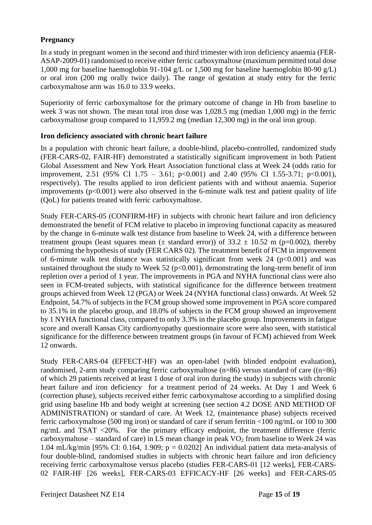## **Pregnancy**

In a study in pregnant women in the second and third trimester with iron deficiency anaemia (FER-ASAP-2009-01) randomised to receive either ferric carboxymaltose (maximum permitted total dose 1,000 mg for baseline haemoglobin 91-104 g/L or 1,500 mg for baseline haemoglobin 80-90 g/L) or oral iron (200 mg orally twice daily). The range of gestation at study entry for the ferric carboxymaltose arm was 16.0 to 33.9 weeks.

Superiority of ferric carboxymaltose for the primary outcome of change in Hb from baseline to week 3 was not shown. The mean total iron dose was 1,028.5 mg (median 1,000 mg) in the ferric carboxymaltose group compared to 11,959.2 mg (median 12,300 mg) in the oral iron group.

## **Iron deficiency associated with chronic heart failure**

In a population with chronic heart failure, a double-blind, placebo-controlled, randomized study (FER-CARS-02, FAIR-HF) demonstrated a statistically significant improvement in both Patient Global Assessment and New York Heart Association functional class at Week 24 (odds ratio for improvement, 2.51 (95% CI 1.75 – 3.61; p<0.001) and 2.40 (95% CI 1.55-3.71; p<0.001), respectively). The results applied to iron deficient patients with and without anaemia. Superior improvements  $(p<0.001)$  were also observed in the 6-minute walk test and patient quality of life (QoL) for patients treated with ferric carboxymaltose.

Study FER-CARS-05 (CONFIRM-HF) in subjects with chronic heart failure and iron deficiency demonstrated the benefit of FCM relative to placebo in improving functional capacity as measured by the change in 6-minute walk test distance from baseline to Week 24, with a difference between treatment groups (least squares mean ( $\pm$  standard error)) of 33.2  $\pm$  10.52 m (p=0.002), thereby confirming the hypothesis of study (FER CARS 02). The treatment benefit of FCM in improvement of 6-minute walk test distance was statistically significant from week  $24$  ( $p<0.001$ ) and was sustained throughout the study to Week 52 ( $p<0.001$ ), demonstrating the long-term benefit of iron repletion over a period of 1 year. The improvements in PGA and NYHA functional class were also seen in FCM-treated subjects, with statistical significance for the difference between treatment groups achieved from Week 12 (PGA) or Week 24 (NYHA functional class) onwards. At Week 52 Endpoint, 54.7% of subjects in the FCM group showed some improvement in PGA score compared to 35.1% in the placebo group, and 18.0% of subjects in the FCM group showed an improvement by 1 NYHA functional class, compared to only 3.3% in the placebo group. Improvements in fatigue score and overall Kansas City cardiomyopathy questionnaire score were also seen, with statistical significance for the difference between treatment groups (in favour of FCM) achieved from Week 12 onwards.

Study FER-CARS-04 (EFFECT-HF) was an open-label (with blinded endpoint evaluation), randomised, 2-arm study comparing ferric carboxymaltose (n=86) versus standard of care ((n=86) of which 29 patients received at least 1 dose of oral iron during the study) in subjects with chronic heart failure and iron deficiency for a treatment period of 24 weeks. At Day 1 and Week 6 (correction phase), subjects received either ferric carboxymaltose according to a simplified dosing grid using baseline Hb and body weight at screening (see section 4.2 DOSE AND METHOD OF ADMINISTRATION) or standard of care. At Week 12, (maintenance phase) subjects received ferric carboxymaltose (500 mg iron) or standard of care if serum ferritin <100 ng/mL or 100 to 300 ng/mL and TSAT <20%. For the primary efficacy endpoint, the treatment difference (ferric carboxymaltose – standard of care) in LS mean change in peak  $VO<sub>2</sub>$  from baseline to Week 24 was 1.04 mL/kg/min [95% CI: 0.164, 1.909;  $p = 0.0202$ ] An individual patient data meta-analysis of four double-blind, randomised studies in subjects with chronic heart failure and iron deficiency receiving ferric carboxymaltose versus placebo (studies FER-CARS-01 [12 weeks], FER-CARS-02 FAIR-HF [26 weeks], FER-CARS-03 EFFICACY-HF [26 weeks] and FER-CARS-05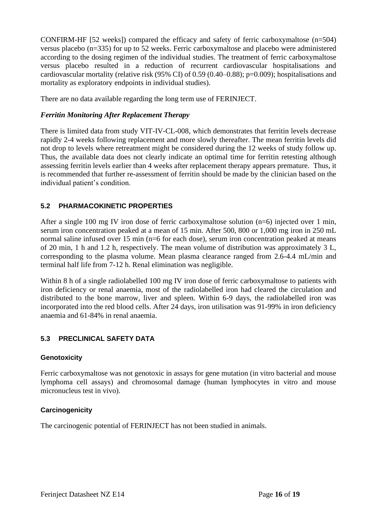CONFIRM-HF [52 weeks]) compared the efficacy and safety of ferric carboxymaltose (n=504) versus placebo (n=335) for up to 52 weeks. Ferric carboxymaltose and placebo were administered according to the dosing regimen of the individual studies. The treatment of ferric carboxymaltose versus placebo resulted in a reduction of recurrent cardiovascular hospitalisations and cardiovascular mortality (relative risk (95% CI) of 0.59 (0.40–0.88); p=0.009); hospitalisations and mortality as exploratory endpoints in individual studies).

There are no data available regarding the long term use of FERINJECT.

## *Ferritin Monitoring After Replacement Therapy*

There is limited data from study VIT-IV-CL-008, which demonstrates that ferritin levels decrease rapidly 2-4 weeks following replacement and more slowly thereafter. The mean ferritin levels did not drop to levels where retreatment might be considered during the 12 weeks of study follow up. Thus, the available data does not clearly indicate an optimal time for ferritin retesting although assessing ferritin levels earlier than 4 weeks after replacement therapy appears premature. Thus, it is recommended that further re-assessment of ferritin should be made by the clinician based on the individual patient's condition.

## **5.2 PHARMACOKINETIC PROPERTIES**

After a single 100 mg IV iron dose of ferric carboxymaltose solution  $(n=6)$  injected over 1 min, serum iron concentration peaked at a mean of 15 min. After 500, 800 or 1,000 mg iron in 250 mL normal saline infused over 15 min (n=6 for each dose), serum iron concentration peaked at means of 20 min, 1 h and 1.2 h, respectively. The mean volume of distribution was approximately 3 L, corresponding to the plasma volume. Mean plasma clearance ranged from 2.6-4.4 mL/min and terminal half life from 7-12 h. Renal elimination was negligible.

Within 8 h of a single radiolabelled 100 mg IV iron dose of ferric carboxymaltose to patients with iron deficiency or renal anaemia, most of the radiolabelled iron had cleared the circulation and distributed to the bone marrow, liver and spleen. Within 6-9 days, the radiolabelled iron was incorporated into the red blood cells. After 24 days, iron utilisation was 91-99% in iron deficiency anaemia and 61-84% in renal anaemia.

## **5.3 PRECLINICAL SAFETY DATA**

## **Genotoxicity**

Ferric carboxymaltose was not genotoxic in assays for gene mutation (in vitro bacterial and mouse lymphoma cell assays) and chromosomal damage (human lymphocytes in vitro and mouse micronucleus test in vivo).

## **Carcinogenicity**

The carcinogenic potential of FERINJECT has not been studied in animals.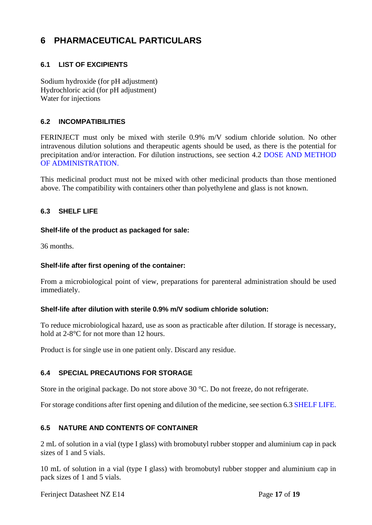# <span id="page-16-0"></span>**6 PHARMACEUTICAL PARTICULARS**

## **6.1 LIST OF EXCIPIENTS**

Sodium hydroxide (for pH adjustment) Hydrochloric acid (for pH adjustment) Water for injections

## **6.2 INCOMPATIBILITIES**

FERINJECT must only be mixed with sterile 0.9% m/V sodium chloride solution. No other intravenous dilution solutions and therapeutic agents should be used, as there is the potential for precipitation and/or interaction. For dilution instructions, see section [4.2](#page-1-1) [DOSE AND METHOD](#page-1-1)  [OF ADMINISTRATION.](#page-1-1)

This medicinal product must not be mixed with other medicinal products than those mentioned above. The compatibility with containers other than polyethylene and glass is not known.

## <span id="page-16-1"></span>**6.3 SHELF LIFE**

#### **Shelf-life of the product as packaged for sale:**

36 months.

## **Shelf-life after first opening of the container:**

From a microbiological point of view, preparations for parenteral administration should be used immediately.

#### **Shelf-life after dilution with sterile 0.9% m/V sodium chloride solution:**

To reduce microbiological hazard, use as soon as practicable after dilution. If storage is necessary, hold at 2-8°C for not more than 12 hours.

Product is for single use in one patient only. Discard any residue.

## **6.4 SPECIAL PRECAUTIONS FOR STORAGE**

Store in the original package. Do not store above 30 °C. Do not freeze, do not refrigerate.

For storage conditions after first opening and dilution of the medicine, see section [6.3](#page-16-1) [SHELF LIFE.](#page-16-1)

## **6.5 NATURE AND CONTENTS OF CONTAINER**

2 mL of solution in a vial (type I glass) with bromobutyl rubber stopper and aluminium cap in pack sizes of 1 and 5 vials.

10 mL of solution in a vial (type I glass) with bromobutyl rubber stopper and aluminium cap in pack sizes of 1 and 5 vials.

Ferinject Datasheet NZ E14 Page 17 of 19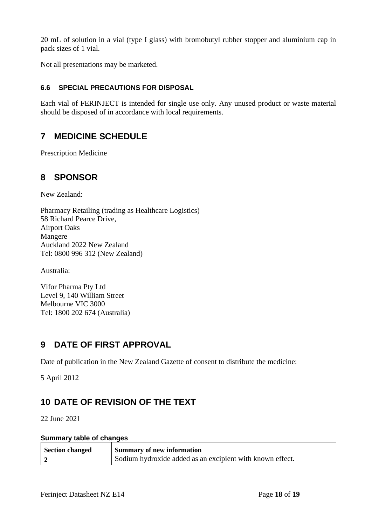20 mL of solution in a vial (type I glass) with bromobutyl rubber stopper and aluminium cap in pack sizes of 1 vial.

Not all presentations may be marketed.

## **6.6 SPECIAL PRECAUTIONS FOR DISPOSAL**

Each vial of FERINJECT is intended for single use only. Any unused product or waste material should be disposed of in accordance with local requirements.

# **7 MEDICINE SCHEDULE**

Prescription Medicine

## **8 SPONSOR**

New Zealand:

Pharmacy Retailing (trading as Healthcare Logistics) 58 Richard Pearce Drive, Airport Oaks Mangere Auckland 2022 New Zealand Tel: 0800 996 312 (New Zealand)

Australia:

Vifor Pharma Pty Ltd Level 9, 140 William Street Melbourne VIC 3000 Tel: 1800 202 674 (Australia)

# **9 DATE OF FIRST APPROVAL**

Date of publication in the New Zealand Gazette of consent to distribute the medicine:

5 April 2012

# **10 DATE OF REVISION OF THE TEXT**

22 June 2021

#### **Summary table of changes**

| <b>Section changed</b> | <b>Summary of new information</b>                         |
|------------------------|-----------------------------------------------------------|
|                        | Sodium hydroxide added as an excipient with known effect. |